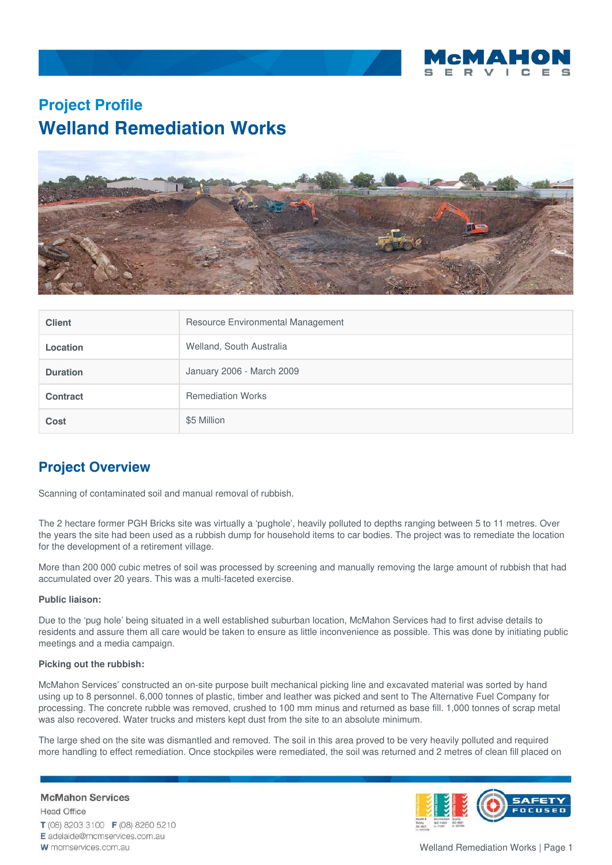

## **Project Profile Welland Remediation Works**



| <b>Client</b>   | Resource Environmental Management |
|-----------------|-----------------------------------|
| <b>Location</b> | Welland, South Australia          |
| <b>Duration</b> | January 2006 - March 2009         |
| Contract        | <b>Remediation Works</b>          |
| Cost            | \$5 Million                       |

## **Project Overview**

Scanning of contaminated soil and manual removal of rubbish.

The 2 hectare former PGH Bricks site was virtually a 'pughole', heavily polluted to depths ranging between 5 to 11 metres. Over the years the site had been used as a rubbish dump for household items to car bodies. The project was to remediate the location for the development of a retirement village.

More than 200 000 cubic metres of soil was processed by screening and manually removing the large amount of rubbish that had accumulated over 20 years. This was a multi-faceted exercise.

## **Public liaison:**

Due to the 'pug hole' being situated in a well established suburban location, McMahon Services had to first advise details to residents and assure them all care would be taken to ensure as little inconvenience as possible. This was done by initiating public meetings and a media campaign.

## **Picking out the rubbish:**

McMahon Services' constructed an on-site purpose built mechanical picking line and excavated material was sorted by hand using up to 8 personnel. 6,000 tonnes of plastic, timber and leather was picked and sent to The Alternative Fuel Company for processing. The concrete rubble was removed, crushed to 100 mm minus and returned as base fill. 1,000 tonnes of scrap metal was also recovered. Water trucks and misters kept dust from the site to an absolute minimum.

The large shed on the site was dismantled and removed. The soil in this area proved to be very heavily polluted and required more handling to effect remediation. Once stockpiles were remediated, the soil was returned and 2 metres of clean fill placed on

**McMahon Services Head Office** T (08) 8203 3100 F (08) 8260 5210 E adelaide@mcmservices.com.au W mcmservices.com.au



Welland Remediation Works | Page 1